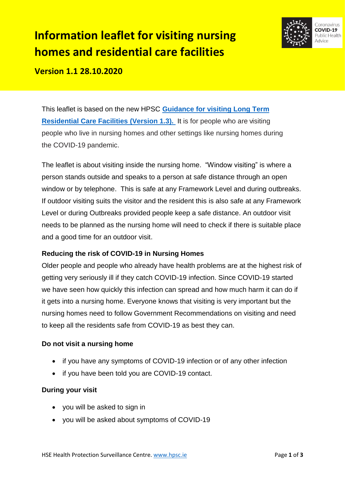# **Information leaflet for visiting nursing homes and residential care facilities**



**Version 1.1 28.10.2020** 

This leaflet is based on the new HPSC **Guidance [for visiting Long Term](https://www.hpsc.ie/a-z/respiratory/coronavirus/novelcoronavirus/guidance/vulnerablegroupsguidance/Guidance%20on%20visitations%20to%20LTRCF.pdf)  [Residential Care Facilities \(Version 1.3\).](https://www.hpsc.ie/a-z/respiratory/coronavirus/novelcoronavirus/guidance/vulnerablegroupsguidance/Guidance%20on%20visitations%20to%20LTRCF.pdf)** It is for people who are visiting people who live in nursing homes and other settings like nursing homes during the COVID-19 pandemic.

The leaflet is about visiting inside the nursing home. "Window visiting" is where a person stands outside and speaks to a person at safe distance through an open window or by telephone. This is safe at any Framework Level and during outbreaks. If outdoor visiting suits the visitor and the resident this is also safe at any Framework Level or during Outbreaks provided people keep a safe distance. An outdoor visit needs to be planned as the nursing home will need to check if there is suitable place and a good time for an outdoor visit.

## **Reducing the risk of COVID-19 in Nursing Homes**

Older people and people who already have health problems are at the highest risk of getting very seriously ill if they catch COVID-19 infection. Since COVID-19 started we have seen how quickly this infection can spread and how much harm it can do if it gets into a nursing home. Everyone knows that visiting is very important but the nursing homes need to follow Government Recommendations on visiting and need to keep all the residents safe from COVID-19 as best they can.

### **Do not visit a nursing home**

- if you have any symptoms of COVID-19 infection or of any other infection
- if you have been told you are COVID-19 contact.

### **During your visit**

- you will be asked to sign in
- you will be asked about symptoms of COVID-19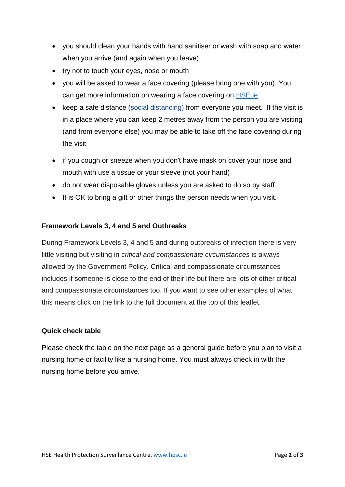- you should clean your hands with hand sanitiser or wash with soap and water when you arrive (and again when you leave)
- try not to touch your eyes, nose or mouth
- you will be asked to wear a face covering (please bring one with you). You can get more information on wearing a face covering on [HSE.ie](https://www2.hse.ie/conditions/coronavirus/face-masks-disposable-gloves.html)
- keep a safe distance [\(social distancing\)](https://www2.hse.ie/conditions/coronavirus/protect-yourself-and-others.html#social-distancing) from everyone you meet. If the visit is in a place where you can keep 2 metres away from the person you are visiting (and from everyone else) you may be able to take off the face covering during the visit
- if you cough or sneeze when you don't have mask on cover your nose and mouth with use a tissue or your sleeve (not your hand)
- do not wear disposable gloves unless you are asked to do so by staff.
- It is OK to bring a gift or other things the person needs when you visit.

#### **Framework Levels 3, 4 and 5 and Outbreaks**

During Framework Levels 3, 4 and 5 and during outbreaks of infection there is very little visiting but visiting in *critical and compassionate circumstances* is always allowed by the Government Policy. Critical and compassionate circumstances includes if someone is close to the end of their life but there are lots of other critical and compassionate circumstances too. If you want to see other examples of what this means click on the link to the full document at the top of this leaflet.

#### **Quick check table**

**P**lease check the table on the next page as a general guide before you plan to visit a nursing home or facility like a nursing home. You must always check in with the nursing home before you arrive.